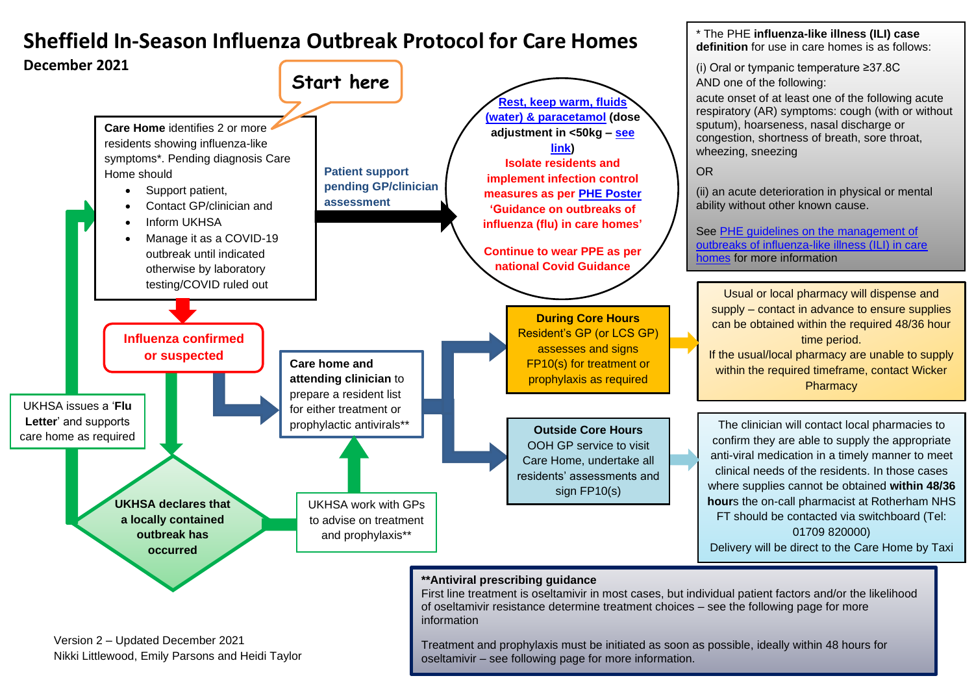# **Sheffield In-Season Influenza Outbreak Protocol for Care Homes**



Nikki Littlewood, Emily Parsons and Heidi Taylor

Treatment and prophylaxis must be initiated as soon as possible, ideally within 48 hours for oseltamivir – see following page for more information.

\* The PHE **influenza-like illness (ILI) case definition** for use in care homes is as follows: